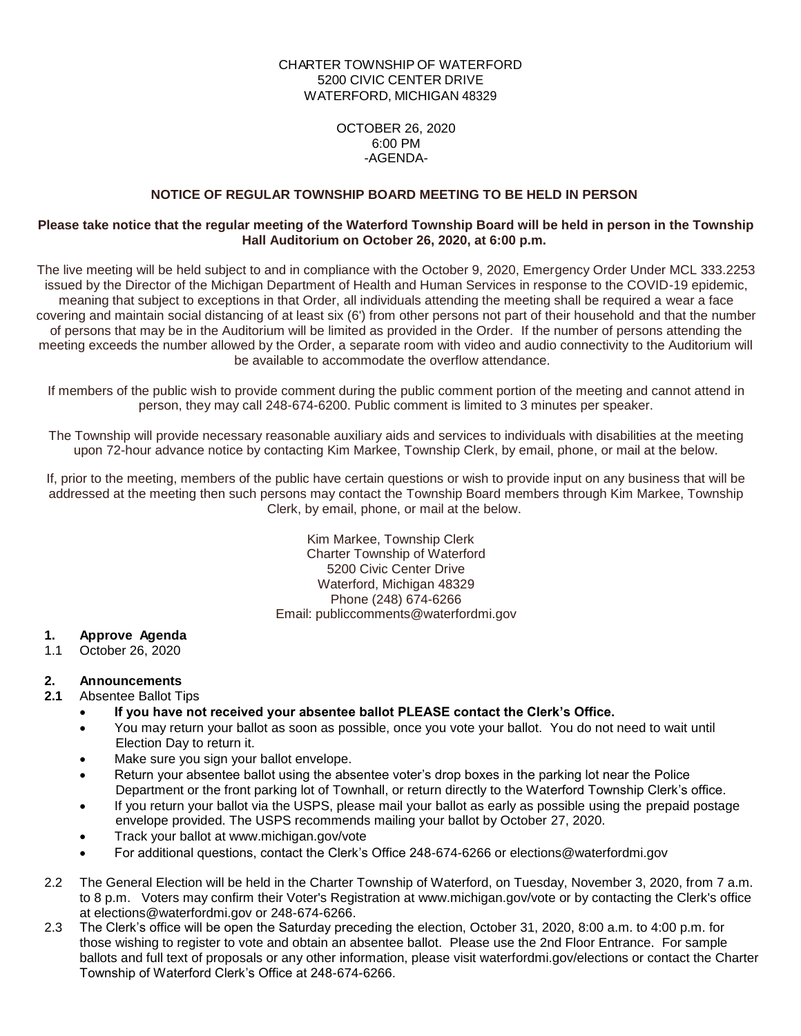# CHARTER TOWNSHIP OF WATERFORD 5200 CIVIC CENTER DRIVE WATERFORD, MICHIGAN 48329

OCTOBER 26, 2020 6:00 PM -AGENDA-

# **NOTICE OF REGULAR TOWNSHIP BOARD MEETING TO BE HELD IN PERSON**

### **Please take notice that the regular meeting of the Waterford Township Board will be held in person in the Township Hall Auditorium on October 26, 2020, at 6:00 p.m.**

The live meeting will be held subject to and in compliance with the October 9, 2020, Emergency Order Under MCL 333.2253 issued by the Director of the Michigan Department of Health and Human Services in response to the COVID-19 epidemic, meaning that subject to exceptions in that Order, all individuals attending the meeting shall be required a wear a face covering and maintain social distancing of at least six (6') from other persons not part of their household and that the number of persons that may be in the Auditorium will be limited as provided in the Order. If the number of persons attending the meeting exceeds the number allowed by the Order, a separate room with video and audio connectivity to the Auditorium will be available to accommodate the overflow attendance.

If members of the public wish to provide comment during the public comment portion of the meeting and cannot attend in person, they may call 248-674-6200. Public comment is limited to 3 minutes per speaker.

The Township will provide necessary reasonable auxiliary aids and services to individuals with disabilities at the meeting upon 72-hour advance notice by contacting Kim Markee, Township Clerk, by email, phone, or mail at the below.

If, prior to the meeting, members of the public have certain questions or wish to provide input on any business that will be addressed at the meeting then such persons may contact the Township Board members through Kim Markee, Township Clerk, by email, phone, or mail at the below.

> Kim Markee, Township Clerk Charter Township of Waterford 5200 Civic Center Drive Waterford, Michigan 48329 Phone (248) 674-6266 Email: publiccomments@waterfordmi.gov

# **1. Approve Agenda**

1.1 October 26, 2020

# **2. Announcements**

#### **2.1** Absentee Ballot Tips

- **If you have not received your absentee ballot PLEASE contact the Clerk's Office.**
- You may return your ballot as soon as possible, once you vote your ballot. You do not need to wait until Election Day to return it.
- Make sure you sign your ballot envelope.
- Return your absentee ballot using the absentee voter's drop boxes in the parking lot near the Police Department or the front parking lot of Townhall, or return directly to the Waterford Township Clerk's office.
- If you return your ballot via the USPS, please mail your ballot as early as possible using the prepaid postage envelope provided. The USPS recommends mailing your ballot by October 27, 2020.
- Track your ballot at www.michigan.gov/vote
- For additional questions, contact the Clerk's Office 248-674-6266 or elections@waterfordmi.gov
- 2.2 The General Election will be held in the Charter Township of Waterford, on Tuesday, November 3, 2020, from 7 a.m. to 8 p.m. Voters may confirm their Voter's Registration at www.michigan.gov/vote or by contacting the Clerk's office at elections@waterfordmi.gov or 248-674-6266.
- 2.3 The Clerk's office will be open the Saturday preceding the election, October 31, 2020, 8:00 a.m. to 4:00 p.m. for those wishing to register to vote and obtain an absentee ballot. Please use the 2nd Floor Entrance. For sample ballots and full text of proposals or any other information, please visit waterfordmi.gov/elections or contact the Charter Township of Waterford Clerk's Office at 248-674-6266.